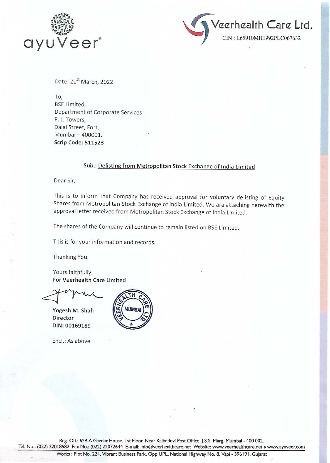



Date: 21<sup>st</sup> March, 2022

To, BSE Limited, Department of Corporate Services P. J. Towers, Dalal Street, Fort, Mumbai- 400001. Scrip Code: 511523

## Sub.: Delisting from Metropolitan Stock Exchange of India Limited

Dear Sir,

This is to inform that Company has received approval for voluntary delisting of Equity Shares from Metropolitan Stock Exchange of India Limited. We are attaching herewith the approval letter received from Metropolitan Stock Exchange of India Limited.

The shares of the Company will continue to remain listed on BSE Limited.

This is for your information and records.

Thanking You.

Yours faithfully, For Veerh'ealth Care Limited

Yogesh M. Shah Director DIN:00169189

Encl.: As above



Reg. Off.: 629-A Gazdar House, I st Floor, Near Kalbadevi Post Office, J.S.S. Marg, Mumbai - 400 002.

Tel. No.: (022) 22018582 Fax No.: (022) 22072644 E-mail: info@veerhealthcare.net Website: www.veerhealthcare.net • www.ayuveer.com